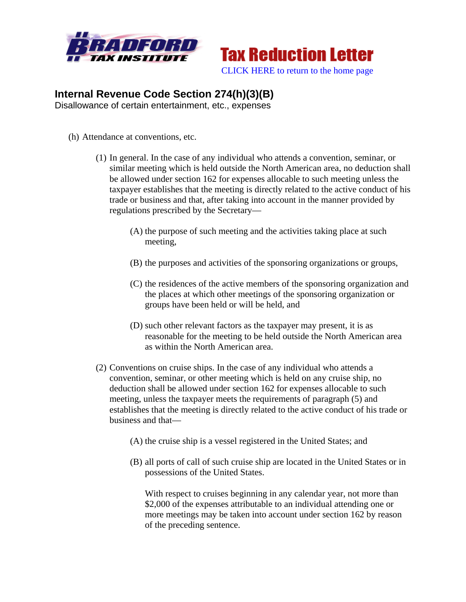



## **Internal Revenue Code Section 274(h)(3)(B)**

Disallowance of certain entertainment, etc., expenses

- (h) Attendance at conventions, etc.
	- (1) In general. In the case of any individual who attends a convention, seminar, or similar meeting which is held outside the North American area, no deduction shall be allowed under section 162 for expenses allocable to such meeting unless the taxpayer establishes that the meeting is directly related to the active conduct of his trade or business and that, after taking into account in the manner provided by regulations prescribed by the Secretary—
		- (A) the purpose of such meeting and the activities taking place at such meeting,
		- (B) the purposes and activities of the sponsoring organizations or groups,
		- (C) the residences of the active members of the sponsoring organization and the places at which other meetings of the sponsoring organization or groups have been held or will be held, and
		- (D) such other relevant factors as the taxpayer may present, it is as reasonable for the meeting to be held outside the North American area as within the North American area.
	- (2) Conventions on cruise ships. In the case of any individual who attends a convention, seminar, or other meeting which is held on any cruise ship, no deduction shall be allowed under section 162 for expenses allocable to such meeting, unless the taxpayer meets the requirements of paragraph (5) and establishes that the meeting is directly related to the active conduct of his trade or business and that—
		- (A) the cruise ship is a vessel registered in the United States; and
		- (B) all ports of call of such cruise ship are located in the United States or in possessions of the United States.

With respect to cruises beginning in any calendar year, not more than \$2,000 of the expenses attributable to an individual attending one or more meetings may be taken into account under section 162 by reason of the preceding sentence.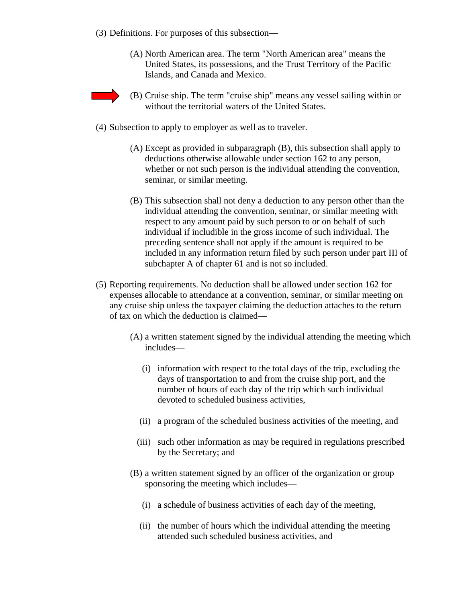- (3) Definitions. For purposes of this subsection—
	- (A) North American area. The term "North American area" means the United States, its possessions, and the Trust Territory of the Pacific Islands, and Canada and Mexico.
- 
- (B) Cruise ship. The term "cruise ship" means any vessel sailing within or without the territorial waters of the United States.
- (4) Subsection to apply to employer as well as to traveler.
	- (A) Except as provided in subparagraph (B), this subsection shall apply to deductions otherwise allowable under section 162 to any person, whether or not such person is the individual attending the convention, seminar, or similar meeting.
	- (B) This subsection shall not deny a deduction to any person other than the individual attending the convention, seminar, or similar meeting with respect to any amount paid by such person to or on behalf of such individual if includible in the gross income of such individual. The preceding sentence shall not apply if the amount is required to be included in any information return filed by such person under part III of subchapter A of chapter 61 and is not so included.
- (5) Reporting requirements. No deduction shall be allowed under section 162 for expenses allocable to attendance at a convention, seminar, or similar meeting on any cruise ship unless the taxpayer claiming the deduction attaches to the return of tax on which the deduction is claimed—
	- (A) a written statement signed by the individual attending the meeting which includes—
		- (i) information with respect to the total days of the trip, excluding the days of transportation to and from the cruise ship port, and the number of hours of each day of the trip which such individual devoted to scheduled business activities,
		- (ii) a program of the scheduled business activities of the meeting, and
		- (iii) such other information as may be required in regulations prescribed by the Secretary; and
	- (B) a written statement signed by an officer of the organization or group sponsoring the meeting which includes—
		- (i) a schedule of business activities of each day of the meeting,
		- (ii) the number of hours which the individual attending the meeting attended such scheduled business activities, and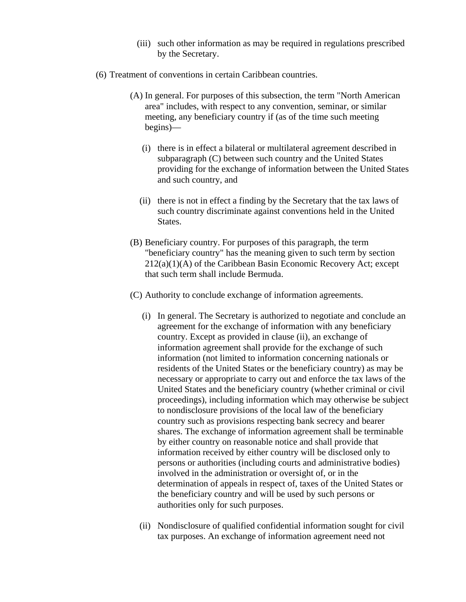- (iii) such other information as may be required in regulations prescribed by the Secretary.
- (6) Treatment of conventions in certain Caribbean countries.
	- (A) In general. For purposes of this subsection, the term "North American area" includes, with respect to any convention, seminar, or similar meeting, any beneficiary country if (as of the time such meeting begins)—
		- (i) there is in effect a bilateral or multilateral agreement described in subparagraph (C) between such country and the United States providing for the exchange of information between the United States and such country, and
		- (ii) there is not in effect a finding by the Secretary that the tax laws of such country discriminate against conventions held in the United States.
	- (B) Beneficiary country. For purposes of this paragraph, the term "beneficiary country" has the meaning given to such term by section 212(a)(1)(A) of the Caribbean Basin Economic Recovery Act; except that such term shall include Bermuda.
	- (C) Authority to conclude exchange of information agreements.
		- (i) In general. The Secretary is authorized to negotiate and conclude an agreement for the exchange of information with any beneficiary country. Except as provided in clause (ii), an exchange of information agreement shall provide for the exchange of such information (not limited to information concerning nationals or residents of the United States or the beneficiary country) as may be necessary or appropriate to carry out and enforce the tax laws of the United States and the beneficiary country (whether criminal or civil proceedings), including information which may otherwise be subject to nondisclosure provisions of the local law of the beneficiary country such as provisions respecting bank secrecy and bearer shares. The exchange of information agreement shall be terminable by either country on reasonable notice and shall provide that information received by either country will be disclosed only to persons or authorities (including courts and administrative bodies) involved in the administration or oversight of, or in the determination of appeals in respect of, taxes of the United States or the beneficiary country and will be used by such persons or authorities only for such purposes.
		- (ii) Nondisclosure of qualified confidential information sought for civil tax purposes. An exchange of information agreement need not